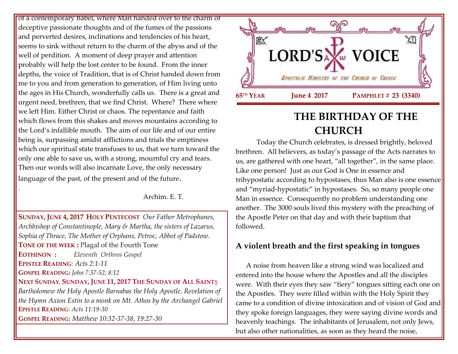of a contemporary Babel, where Man handed over to the charm of deceptive passionate thoughts and of the fumes of the passions and perverted desires, inclinations and tendencies of his heart, seems to sink without return to the charm of the abyss and of the well of perdition. A moment of deep prayer and attention probably will help the lost center to be found. From the inner depths, the voice of Tradition, that is of Christ handed down from me to you and from generation to generation, of Him living unto the ages in His Church, wonderfully calls us. There is a great and urgent need, brethren, that we find Christ. Where? There where we left Him. Either Christ or chaos. The repentance and faith which flows from this shakes and moves mountains according to the Lord's infallible mouth. The aim of our life and of our entire being is, surpassing amidst afflictions and trials the emptiness which our spiritual state transfuses to us, that we turn toward the only one able to save us, with a strong, mournful cry and tears. Then our words will also incarnate Love, the only necessary language of the past, of the present and of the future.

Archim. E. T.

**SUNDAY, JUNE 4, 2017 HOLY P[ENTECOST](https://www.goarch.org/chapel/saints?contentid=961&PCode=7PS&D=S&date=6/4/2017)** *Our Father Metrophanes, Archbishop of Constantinople, Mary & Martha, the sisters of Lazarus, Sophia of Thrace, The Mother of Orphans, Petroc, Abbot of Padstow.* **TONE OF THE WEEK :** Plagal of the Fourth Tone **EOTHINON** *: Eleventh Orthros Gospel* **EPISTLE READING:** *[Acts 2:1-11](https://www.goarch.org/chapel/lectionary?type=epistle&code=27&event=940&date=5/28/2017)* **GOSPEL READING:** *[John 7:37-52; 8:12](https://www.goarch.org/chapel/lectionary?type=gospel&code=43&event=940&date=5/28/2017)*  **NEXT SUNDAY**, **SUNDAY, JUNE 11, 2017 THE S[UNDAY OF](https://www.goarch.org/chapel/saints?contentid=1040&PCode=1PES&D=S&date=6/11/2017) ALL SAINT**S *[Bartholomew the Holy Apostle Barnabas the Holy Apostle,](https://www.goarch.org/chapel/saints?contentid=83) [Revelation of](https://www.goarch.org/chapel/saints?contentid=489)  [the Hymn Axion Estin to a monk on Mt. Athos by the Archangel Gabriel](https://www.goarch.org/chapel/saints?contentid=489)*  **EPISTLE READING:** *[Acts 11:19-30](https://www.goarch.org/chapel/lectionary?type=epistle&code=27&event=940&date=5/28/2017)* **GOSPEL READING:** *[Matthew 10:32-37-38, 19:27-30](https://www.goarch.org/chapel/lectionary?type=gospel&code=43&event=940&date=5/28/2017)*

.



# **THE BIRTHDAY OF THE CHURCH**

Today the Church celebrates, is dressed brightly, beloved brethren. All believers, as today's passage of the Acts narrates to us, are gathered with one heart, "all together", in the same place. Like one person! Just as our God is One in essence and trihypostatic according to hypostases, thus Man also is one essence and "myriad-hypostatic" in hypostases. So, so many people one Man in essence. Consequently no problem understanding one another. The 3000 souls lived this mystery with the preaching of the Apostle Peter on that day and with their baptism that followed.

# **A violent breath and the first speaking in tongues**

 A noise from heaven like a strong wind was localized and entered into the house where the Apostles and all the disciples were. With their eyes they saw "fiery" tongues sitting each one on the Apostles. They were filled within with the Holy Spirit they came to a condition of divine intoxication and of vision of God and they spoke foreign languages, they were saying divine words and heavenly teachings. The inhabitants of Jerusalem, not only Jews, but also other nationalities, as soon as they heard the noise,